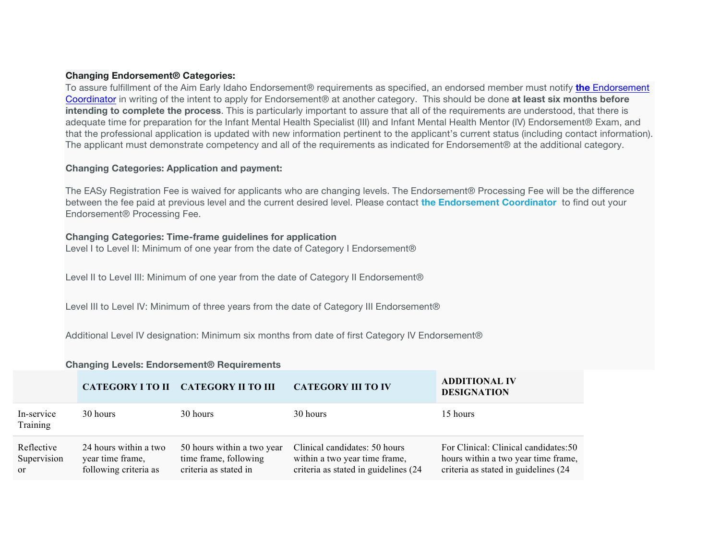## **Changing Endorsement® Categories:**

To assure fulfillment of the Aim Early Idaho Endorsement® requirements as specified, an endorsed member must notify **the** Endorsement Coordinator in writing of the intent to apply for Endorsement® at another category. This should be done **at least six months before intending to complete the process**. This is particularly important to assure that all of the requirements are understood, that there is adequate time for preparation for the Infant Mental Health Specialist (III) and Infant Mental Health Mentor (IV) Endorsement® Exam, and that the professional application is updated with new information pertinent to the applicant's current status (including contact information). The applicant must demonstrate competency and all of the requirements as indicated for Endorsement® at the additional category.

## **Changing Categories: Application and payment:**

The EASy Registration Fee is waived for applicants who are changing levels. The Endorsement® Processing Fee will be the difference between the fee paid at previous level and the current desired level. Please contact **the Endorsement Coordinator** to find out your Endorsement® Processing Fee.

## **Changing Categories: Time-frame guidelines for application**

Level I to Level II: Minimum of one year from the date of Category I Endorsement®

Level II to Level III: Minimum of one year from the date of Category II Endorsement®

Level III to Level IV: Minimum of three years from the date of Category III Endorsement®

Additional Level IV designation: Minimum six months from date of first Category IV Endorsement®

## **Changing Levels: Endorsement® Requirements**

|                                            |                                                                    | CATEGORY I TO II CATEGORY II TO III                                          | <b>CATEGORY III TO IV</b>                                                                               | <b>ADDITIONAL IV</b><br><b>DESIGNATION</b>                                                                           |
|--------------------------------------------|--------------------------------------------------------------------|------------------------------------------------------------------------------|---------------------------------------------------------------------------------------------------------|----------------------------------------------------------------------------------------------------------------------|
| In-service<br>Training                     | 30 hours                                                           | 30 hours                                                                     | 30 hours                                                                                                | 15 hours                                                                                                             |
| Reflective<br>Supervision<br><sub>or</sub> | 24 hours within a two<br>year time frame,<br>following criteria as | 50 hours within a two year<br>time frame, following<br>criteria as stated in | Clinical candidates: 50 hours<br>within a two year time frame,<br>criteria as stated in guidelines (24) | For Clinical: Clinical candidates: 50<br>hours within a two year time frame,<br>criteria as stated in guidelines (24 |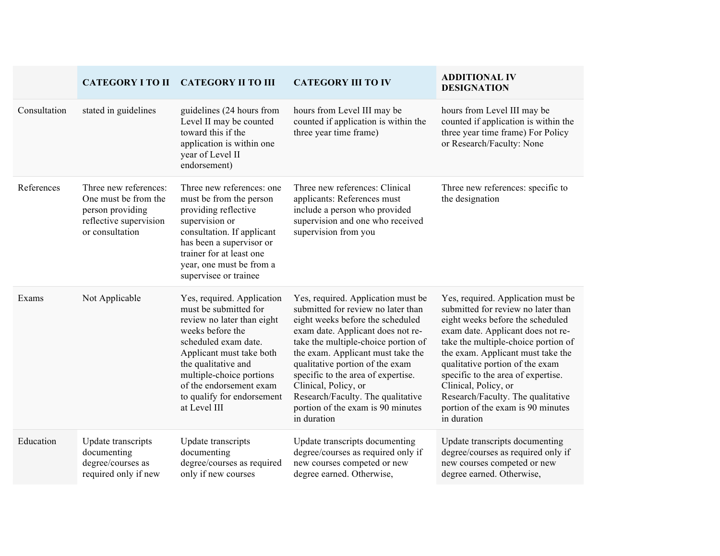|              | <b>CATEGORY I TO II</b>                                                                                        | <b>CATEGORY II TO III</b>                                                                                                                                                                                                                                                             | <b>CATEGORY III TO IV</b>                                                                                                                                                                                                                                                                                                                                                                                               | <b>ADDITIONAL IV</b><br><b>DESIGNATION</b>                                                                                                                                                                                                                                                                                                                                                                              |
|--------------|----------------------------------------------------------------------------------------------------------------|---------------------------------------------------------------------------------------------------------------------------------------------------------------------------------------------------------------------------------------------------------------------------------------|-------------------------------------------------------------------------------------------------------------------------------------------------------------------------------------------------------------------------------------------------------------------------------------------------------------------------------------------------------------------------------------------------------------------------|-------------------------------------------------------------------------------------------------------------------------------------------------------------------------------------------------------------------------------------------------------------------------------------------------------------------------------------------------------------------------------------------------------------------------|
| Consultation | stated in guidelines                                                                                           | guidelines (24 hours from<br>Level II may be counted<br>toward this if the<br>application is within one<br>year of Level II<br>endorsement)                                                                                                                                           | hours from Level III may be<br>counted if application is within the<br>three year time frame)                                                                                                                                                                                                                                                                                                                           | hours from Level III may be<br>counted if application is within the<br>three year time frame) For Policy<br>or Research/Faculty: None                                                                                                                                                                                                                                                                                   |
| References   | Three new references:<br>One must be from the<br>person providing<br>reflective supervision<br>or consultation | Three new references: one<br>must be from the person<br>providing reflective<br>supervision or<br>consultation. If applicant<br>has been a supervisor or<br>trainer for at least one<br>year, one must be from a<br>supervisee or trainee                                             | Three new references: Clinical<br>applicants: References must<br>include a person who provided<br>supervision and one who received<br>supervision from you                                                                                                                                                                                                                                                              | Three new references: specific to<br>the designation                                                                                                                                                                                                                                                                                                                                                                    |
| Exams        | Not Applicable                                                                                                 | Yes, required. Application<br>must be submitted for<br>review no later than eight<br>weeks before the<br>scheduled exam date.<br>Applicant must take both<br>the qualitative and<br>multiple-choice portions<br>of the endorsement exam<br>to qualify for endorsement<br>at Level III | Yes, required. Application must be<br>submitted for review no later than<br>eight weeks before the scheduled<br>exam date. Applicant does not re-<br>take the multiple-choice portion of<br>the exam. Applicant must take the<br>qualitative portion of the exam<br>specific to the area of expertise.<br>Clinical, Policy, or<br>Research/Faculty. The qualitative<br>portion of the exam is 90 minutes<br>in duration | Yes, required. Application must be<br>submitted for review no later than<br>eight weeks before the scheduled<br>exam date. Applicant does not re-<br>take the multiple-choice portion of<br>the exam. Applicant must take the<br>qualitative portion of the exam<br>specific to the area of expertise.<br>Clinical, Policy, or<br>Research/Faculty. The qualitative<br>portion of the exam is 90 minutes<br>in duration |
| Education    | Update transcripts<br>documenting<br>degree/courses as<br>required only if new                                 | Update transcripts<br>documenting<br>degree/courses as required<br>only if new courses                                                                                                                                                                                                | Update transcripts documenting<br>degree/courses as required only if<br>new courses competed or new<br>degree earned. Otherwise,                                                                                                                                                                                                                                                                                        | Update transcripts documenting<br>degree/courses as required only if<br>new courses competed or new<br>degree earned. Otherwise,                                                                                                                                                                                                                                                                                        |